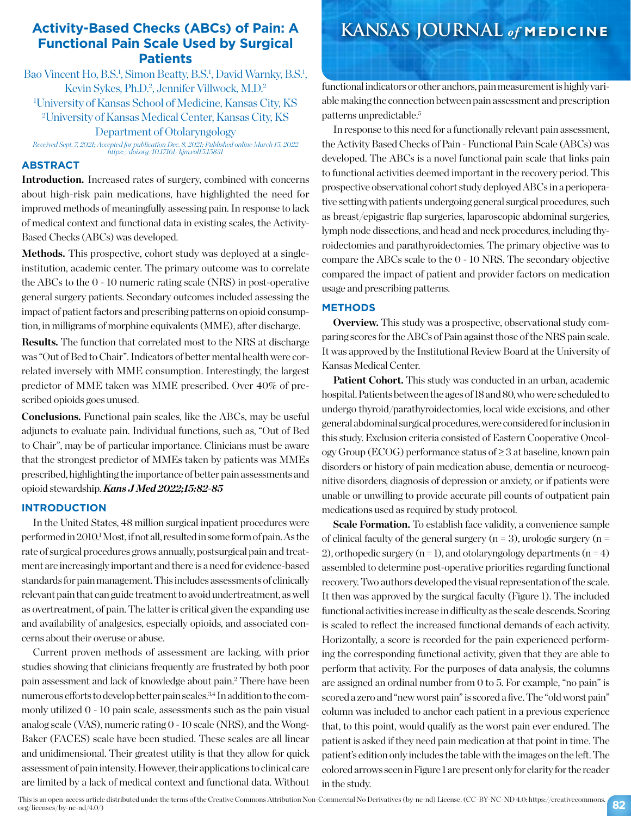## **Activity-Based Checks (ABCs) of Pain: A Functional Pain Scale Used by Surgical Patients**

Bao Vincent Ho, B.S.<sup>1</sup>, Simon Beatty, B.S.<sup>1</sup>, David Warnky, B.S.<sup>1</sup>, Kevin Sykes, Ph.D.<sup>2</sup>, Jennifer Villwock, M.D.<sup>2</sup> 1 University of Kansas School of Medicine, Kansas City, KS 2 University of Kansas Medical Center, Kansas City, KS Department of Otolaryngology

*Received Sept. 7, 2021; Accepted for publication Dec. 8, 2021; Published online March 15, 2022 https://doi.org/10.17161/kjm.vol15.15831*

#### **ABSTRACT**

**Introduction.** Increased rates of surgery, combined with concerns about high-risk pain medications, have highlighted the need for improved methods of meaningfully assessing pain. In response to lack of medical context and functional data in existing scales, the Activity-Based Checks (ABCs) was developed.

Methods. This prospective, cohort study was deployed at a singleinstitution, academic center. The primary outcome was to correlate the ABCs to the 0 - 10 numeric rating scale (NRS) in post-operative general surgery patients. Secondary outcomes included assessing the impact of patient factors and prescribing patterns on opioid consumption, in milligrams of morphine equivalents (MME), after discharge.

**Results.** The function that correlated most to the NRS at discharge was "Out of Bed to Chair". Indicators of better mental health were correlated inversely with MME consumption. Interestingly, the largest predictor of MME taken was MME prescribed. Over 40% of prescribed opioids goes unused.

**Conclusions.** Functional pain scales, like the ABCs, may be useful adjuncts to evaluate pain. Individual functions, such as, "Out of Bed to Chair", may be of particular importance. Clinicians must be aware that the strongest predictor of MMEs taken by patients was MMEs prescribed, highlighting the importance of better pain assessments and opioid stewardship. *Kans J Med 2022;15:82-85*

#### **INTRODUCTION**

In the United States, 48 million surgical inpatient procedures were performed in 2010.<sup>1</sup> Most, if not all, resulted in some form of pain. As the rate of surgical procedures grows annually, postsurgical pain and treatment are increasingly important and there is a need for evidence-based standards for pain management. This includes assessments of clinically relevant pain that can guide treatment to avoid undertreatment, as well as overtreatment, of pain. The latter is critical given the expanding use and availability of analgesics, especially opioids, and associated concerns about their overuse or abuse.

Current proven methods of assessment are lacking, with prior studies showing that clinicians frequently are frustrated by both poor pain assessment and lack of knowledge about pain.2 There have been numerous efforts to develop better pain scales.<sup>3,4</sup> In addition to the commonly utilized 0 - 10 pain scale, assessments such as the pain visual analog scale (VAS), numeric rating 0 - 10 scale (NRS), and the Wong-Baker (FACES) scale have been studied. These scales are all linear and unidimensional. Their greatest utility is that they allow for quick assessment of pain intensity. However, their applications to clinical care are limited by a lack of medical context and functional data. Without

## **KANSAS JOURNAL** *of* **MEDICINE**

functional indicators or other anchors, pain measurement is highly variable making the connection between pain assessment and prescription patterns unpredictable.5

In response to this need for a functionally relevant pain assessment, the Activity Based Checks of Pain - Functional Pain Scale (ABCs) was developed. The ABCs is a novel functional pain scale that links pain to functional activities deemed important in the recovery period. This prospective observational cohort study deployed ABCs in a perioperative setting with patients undergoing general surgical procedures, such as breast/epigastric flap surgeries, laparoscopic abdominal surgeries, lymph node dissections, and head and neck procedures, including thyroidectomies and parathyroidectomies. The primary objective was to compare the ABCs scale to the 0 - 10 NRS. The secondary objective compared the impact of patient and provider factors on medication usage and prescribing patterns.

#### **METHODS**

**Overview.** This study was a prospective, observational study comparing scores for the ABCs of Pain against those of the NRS pain scale. It was approved by the Institutional Review Board at the University of Kansas Medical Center.

Patient Cohort. This study was conducted in an urban, academic hospital. Patients between the ages of 18 and 80, who were scheduled to undergo thyroid/parathyroidectomies, local wide excisions, and other general abdominal surgical procedures, were considered for inclusion in this study. Exclusion criteria consisted of Eastern Cooperative Oncology Group (ECOG) performance status of ≥ 3 at baseline, known pain disorders or history of pain medication abuse, dementia or neurocognitive disorders, diagnosis of depression or anxiety, or if patients were unable or unwilling to provide accurate pill counts of outpatient pain medications used as required by study protocol.

**Scale Formation.** To establish face validity, a convenience sample of clinical faculty of the general surgery ( $n = 3$ ), urologic surgery ( $n =$ 2), orthopedic surgery ( $n = 1$ ), and otolaryngology departments ( $n = 4$ ) assembled to determine post-operative priorities regarding functional recovery. Two authors developed the visual representation of the scale. It then was approved by the surgical faculty (Figure 1). The included functional activities increase in difficulty as the scale descends. Scoring is scaled to reflect the increased functional demands of each activity. Horizontally, a score is recorded for the pain experienced performing the corresponding functional activity, given that they are able to perform that activity. For the purposes of data analysis, the columns are assigned an ordinal number from 0 to 5. For example, "no pain" is scored a zero and "new worst pain" is scored a five. The "old worst pain" column was included to anchor each patient in a previous experience that, to this point, would qualify as the worst pain ever endured. The patient is asked if they need pain medication at that point in time. The patient's edition only includes the table with the images on the left. The colored arrows seen in Figure 1 are present only for clarity for the reader in the study.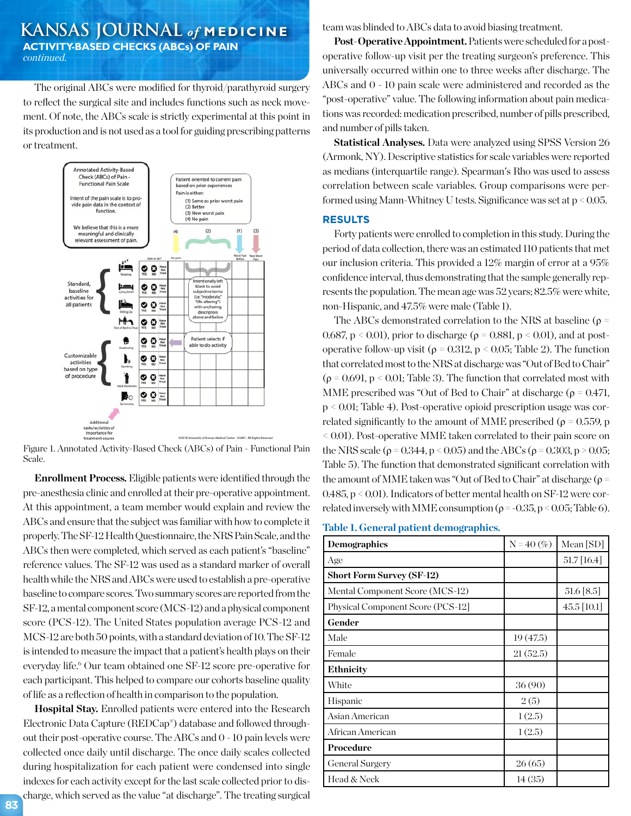## **KANSAS JOURNAL** *of* **MEDICINE ACTIVITY-BASED CHECKS (ABCs) OF PAIN** *continued.*

The original ABCs were modified for thyroid/parathyroid surgery to reflect the surgical site and includes functions such as neck movement. Of note, the ABCs scale is strictly experimental at this point in its production and is not used as a tool for guiding prescribing patterns or treatment.



Figure 1. Annotated Activity-Based Check (ABCs) of Pain - Functional Pain Scale.

**Enrollment Process.** Eligible patients were identified through the pre-anesthesia clinic and enrolled at their pre-operative appointment. At this appointment, a team member would explain and review the ABCs and ensure that the subject was familiar with how to complete it properly. The SF-12 Health Questionnaire, the NRS Pain Scale, and the ABCs then were completed, which served as each patient's "baseline" reference values. The SF-12 was used as a standard marker of overall health while the NRS and ABCs were used to establish a pre-operative baseline to compare scores. Two summary scores are reported from the SF-12, a mental component score (MCS-12) and a physical component score (PCS-12). The United States population average PCS-12 and MCS-12 are both 50 points, with a standard deviation of 10. The SF-12 is intended to measure the impact that a patient's health plays on their everyday life.<sup>6</sup> Our team obtained one SF-12 score pre-operative for each participant. This helped to compare our cohorts baseline quality of life as a reflection of health in comparison to the population.

**Hospital Stay.** Enrolled patients were entered into the Research Electronic Data Capture (REDCap®) database and followed throughout their post-operative course. The ABCs and 0 - 10 pain levels were collected once daily until discharge. The once daily scales collected during hospitalization for each patient were condensed into single indexes for each activity except for the last scale collected prior to discharge, which served as the value "at discharge". The treating surgical team was blinded to ABCs data to avoid biasing treatment.

**Post-Operative Appointment.** Patients were scheduled for a postoperative follow-up visit per the treating surgeon's preference. This universally occurred within one to three weeks after discharge. The ABCs and 0 - 10 pain scale were administered and recorded as the "post-operative" value. The following information about pain medications was recorded: medication prescribed, number of pills prescribed, and number of pills taken.

**Statistical Analyses.** Data were analyzed using SPSS Version 26 (Armonk, NY). Descriptive statistics for scale variables were reported as medians (interquartile range). Spearman's Rho was used to assess correlation between scale variables. Group comparisons were performed using Mann-Whitney U tests. Significance was set at p < 0.05.

#### **RESULTS**

Forty patients were enrolled to completion in this study. During the period of data collection, there was an estimated 110 patients that met our inclusion criteria. This provided a 12% margin of error at a 95% confidence interval, thus demonstrating that the sample generally represents the population. The mean age was 52 years; 82.5% were white, non-Hispanic, and 47.5% were male (Table 1).

The ABCs demonstrated correlation to the NRS at baseline ( $\rho$  = 0.687,  $p < 0.01$ ), prior to discharge ( $\rho = 0.881$ ,  $p < 0.01$ ), and at postoperative follow-up visit ( $ρ = 0.312$ ,  $p < 0.05$ ; Table 2). The function that correlated most to the NRS at discharge was "Out of Bed to Chair"  $(\rho = 0.691, p < 0.01;$  Table 3). The function that correlated most with MME prescribed was "Out of Bed to Chair" at discharge ( $\rho = 0.471$ , p < 0.01; Table 4). Post-operative opioid prescription usage was correlated significantly to the amount of MME prescribed ( $\rho = 0.559$ , p < 0.01). Post-operative MME taken correlated to their pain score on the NRS scale ( $\rho$  = 0.344, p < 0.05) and the ABCs ( $\rho$  = 0.303, p > 0.05; Table 5). The function that demonstrated significant correlation with the amount of MME taken was "Out of Bed to Chair" at discharge ( $\rho$  = 0.485, p < 0.01). Indicators of better mental health on SF-12 were correlated inversely with MME consumption ( $\rho = -0.35$ , p < 0.05; Table 6).

**Table 1. General patient demographics.** 

| <b>Demographics</b>               | $N = 40$ (%) | Mean $[SD]$      |
|-----------------------------------|--------------|------------------|
| Age                               |              | $51.7 \, [16.4]$ |
| <b>Short Form Survey (SF-12)</b>  |              |                  |
| Mental Component Score (MCS-12)   |              | 51.6 [8.5]       |
| Physical Component Score (PCS-12] |              | 45.5 [10.1]      |
| Gender                            |              |                  |
| Male                              | 19(47.5)     |                  |
| Female                            | 21(52.5)     |                  |
| <b>Ethnicity</b>                  |              |                  |
| White                             | 36(90)       |                  |
| Hispanic                          | 2(5)         |                  |
| Asian American                    | 1(2.5)       |                  |
| African American                  | 1(2.5)       |                  |
| Procedure                         |              |                  |
| <b>General Surgery</b>            | 26(65)       |                  |
| Head & Neck                       | 14(35)       |                  |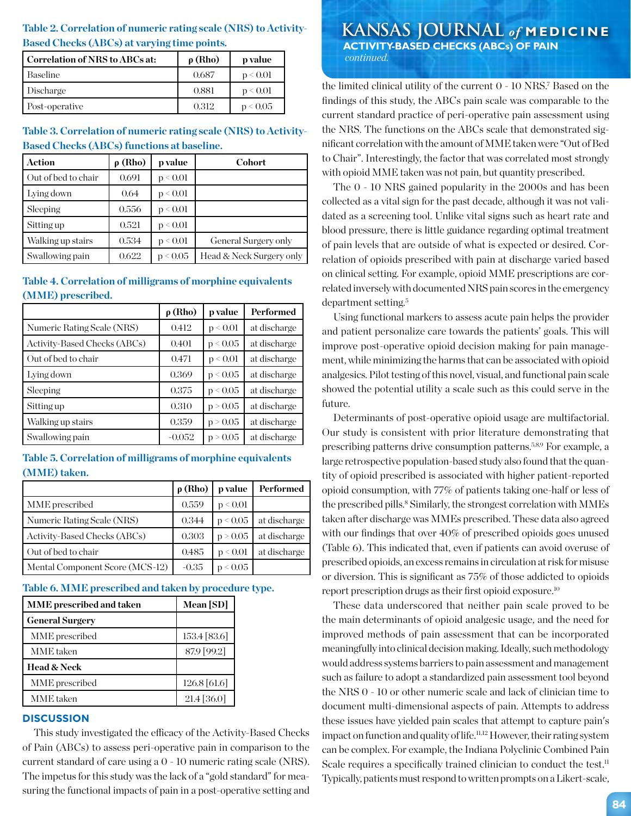# **Based Checks (ABCs) at varying time points.**

| Correlation of NRS to ABCs at: | $\rho$ (Rho) | p value  |
|--------------------------------|--------------|----------|
| Baseline                       | 0.687        | p < 0.01 |
| Discharge                      | 0.881        | p < 0.01 |
| Post-operative                 | 0.312        | p < 0.05 |

## **Table 3. Correlation of numeric rating scale (NRS) to Activity-Based Checks (ABCs) functions at baseline.**

| <b>Action</b>       | $\rho$ (Rho) | p value  | <b>Cohort</b>            |
|---------------------|--------------|----------|--------------------------|
| Out of bed to chair | 0.691        | p < 0.01 |                          |
| Lying down          | 0.64         | p < 0.01 |                          |
| Sleeping            | 0.556        | p < 0.01 |                          |
| Sitting up          | 0.521        | p < 0.01 |                          |
| Walking up stairs   | 0.534        | p < 0.01 | General Surgery only     |
| Swallowing pain     | 0.622        | p < 0.05 | Head & Neck Surgery only |

## **Table 4. Correlation of milligrams of morphine equivalents (MME) prescribed.**

|                                     | $\rho$ (Rho) | p value  | Performed    |
|-------------------------------------|--------------|----------|--------------|
| Numeric Rating Scale (NRS)          | 0.412        | p < 0.01 | at discharge |
| <b>Activity-Based Checks (ABCs)</b> | 0.401        | p < 0.05 | at discharge |
| Out of bed to chair                 | 0.471        | p < 0.01 | at discharge |
| Lying down                          | 0.369        | p < 0.05 | at discharge |
| Sleeping                            | 0.375        | p < 0.05 | at discharge |
| Sitting up                          | 0.310        | p > 0.05 | at discharge |
| Walking up stairs                   | 0.359        | p > 0.05 | at discharge |
| Swallowing pain                     | $-0.052$     | p > 0.05 | at discharge |

#### **Table 5. Correlation of milligrams of morphine equivalents (MME) taken.**

|                                 | $\rho$ (Rho) | p value  | Performed    |
|---------------------------------|--------------|----------|--------------|
| MME prescribed                  | 0.559        | p < 0.01 |              |
| Numeric Rating Scale (NRS)      | 0.344        | p < 0.05 | at discharge |
| Activity-Based Checks (ABCs)    | 0.303        | p > 0.05 | at discharge |
| Out of bed to chair             | 0.485        | p < 0.01 | at discharge |
| Mental Component Score (MCS-12) | $-0.35$      | 0.05     |              |

#### **Table 6. MME prescribed and taken by procedure type.**

| MME prescribed and taken | Mean [SD]        |
|--------------------------|------------------|
| <b>General Surgery</b>   |                  |
| MME prescribed           | 153.4 [83.6]     |
| <b>MME</b> taken         | 87.9 [99.2]      |
| <b>Head &amp; Neck</b>   |                  |
| MME prescribed           | $126.8\,[61.6]$  |
| MME taken                | $21.4 \, [36.0]$ |

#### **DISCUSSION**

This study investigated the efficacy of the Activity-Based Checks of Pain (ABCs) to assess peri-operative pain in comparison to the current standard of care using a 0 - 10 numeric rating scale (NRS). The impetus for this study was the lack of a "gold standard" for measuring the functional impacts of pain in a post-operative setting and

## **Table 2. Correlation of numeric rating scale (NRS) to Activity- KANSAS JOURNAL** *of* **MEDICINE ACTIVITY-BASED CHECKS (ABCs) OF PAIN**  *continued.*

the limited clinical utility of the current 0 - 10 NRS.7 Based on the findings of this study, the ABCs pain scale was comparable to the current standard practice of peri-operative pain assessment using the NRS. The functions on the ABCs scale that demonstrated significant correlation with the amount of MME taken were "Out of Bed to Chair". Interestingly, the factor that was correlated most strongly with opioid MME taken was not pain, but quantity prescribed.

The 0 - 10 NRS gained popularity in the 2000s and has been collected as a vital sign for the past decade, although it was not validated as a screening tool. Unlike vital signs such as heart rate and blood pressure, there is little guidance regarding optimal treatment of pain levels that are outside of what is expected or desired. Correlation of opioids prescribed with pain at discharge varied based on clinical setting. For example, opioid MME prescriptions are correlated inversely with documented NRS pain scores in the emergency department setting.5

Using functional markers to assess acute pain helps the provider and patient personalize care towards the patients' goals. This will improve post-operative opioid decision making for pain management, while minimizing the harms that can be associated with opioid analgesics. Pilot testing of this novel, visual, and functional pain scale showed the potential utility a scale such as this could serve in the future.

Determinants of post-operative opioid usage are multifactorial. Our study is consistent with prior literature demonstrating that prescribing patterns drive consumption patterns.5,8,9 For example, a large retrospective population-based study also found that the quantity of opioid prescribed is associated with higher patient-reported opioid consumption, with 77% of patients taking one-half or less of the prescribed pills.<sup>8</sup> Similarly, the strongest correlation with MMEs taken after discharge was MMEs prescribed. These data also agreed with our findings that over 40% of prescribed opioids goes unused (Table 6). This indicated that, even if patients can avoid overuse of prescribed opioids, an excess remains in circulation at risk for misuse or diversion. This is significant as 75% of those addicted to opioids report prescription drugs as their first opioid exposure.10

These data underscored that neither pain scale proved to be the main determinants of opioid analgesic usage, and the need for improved methods of pain assessment that can be incorporated meaningfully into clinical decision making. Ideally, such methodology would address systems barriers to pain assessment and management such as failure to adopt a standardized pain assessment tool beyond the NRS 0 - 10 or other numeric scale and lack of clinician time to document multi-dimensional aspects of pain. Attempts to address these issues have yielded pain scales that attempt to capture pain's impact on function and quality of life.<sup>11,12</sup> However, their rating system can be complex. For example, the Indiana Polyclinic Combined Pain Scale requires a specifically trained clinician to conduct the test.<sup>11</sup> Typically, patients must respond to written prompts on a Likert-scale,